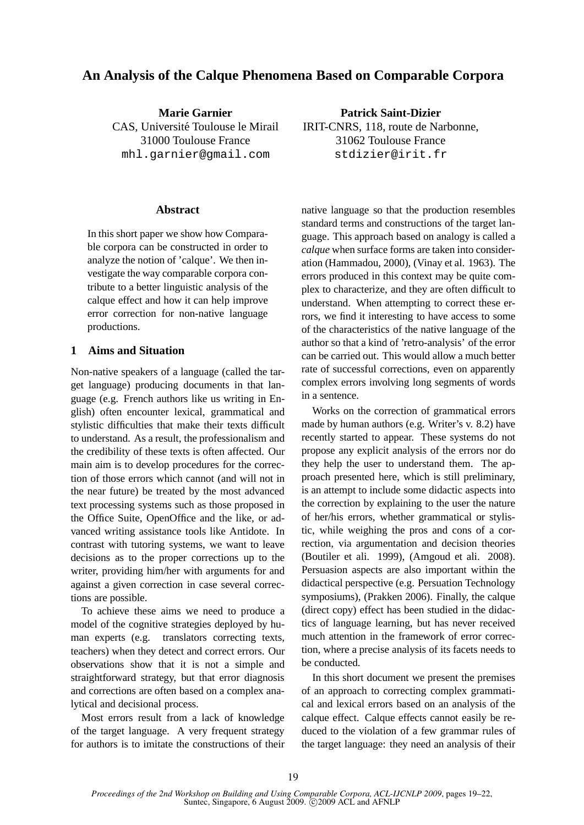# **An Analysis of the Calque Phenomena Based on Comparable Corpora**

**Marie Garnier** CAS, Université Toulouse le Mirail 31000 Toulouse France mhl.garnier@gmail.com

#### **Abstract**

In this short paper we show how Comparable corpora can be constructed in order to analyze the notion of 'calque'. We then investigate the way comparable corpora contribute to a better linguistic analysis of the calque effect and how it can help improve error correction for non-native language productions.

### **1 Aims and Situation**

Non-native speakers of a language (called the target language) producing documents in that language (e.g. French authors like us writing in English) often encounter lexical, grammatical and stylistic difficulties that make their texts difficult to understand. As a result, the professionalism and the credibility of these texts is often affected. Our main aim is to develop procedures for the correction of those errors which cannot (and will not in the near future) be treated by the most advanced text processing systems such as those proposed in the Office Suite, OpenOffice and the like, or advanced writing assistance tools like Antidote. In contrast with tutoring systems, we want to leave decisions as to the proper corrections up to the writer, providing him/her with arguments for and against a given correction in case several corrections are possible.

To achieve these aims we need to produce a model of the cognitive strategies deployed by human experts (e.g. translators correcting texts, teachers) when they detect and correct errors. Our observations show that it is not a simple and straightforward strategy, but that error diagnosis and corrections are often based on a complex analytical and decisional process.

Most errors result from a lack of knowledge of the target language. A very frequent strategy for authors is to imitate the constructions of their

**Patrick Saint-Dizier** IRIT-CNRS, 118, route de Narbonne, 31062 Toulouse France stdizier@irit.fr

native language so that the production resembles standard terms and constructions of the target language. This approach based on analogy is called a *calque* when surface forms are taken into consideration (Hammadou, 2000), (Vinay et al. 1963). The errors produced in this context may be quite complex to characterize, and they are often difficult to understand. When attempting to correct these errors, we find it interesting to have access to some of the characteristics of the native language of the author so that a kind of 'retro-analysis' of the error can be carried out. This would allow a much better rate of successful corrections, even on apparently complex errors involving long segments of words in a sentence.

Works on the correction of grammatical errors made by human authors (e.g. Writer's v. 8.2) have recently started to appear. These systems do not propose any explicit analysis of the errors nor do they help the user to understand them. The approach presented here, which is still preliminary, is an attempt to include some didactic aspects into the correction by explaining to the user the nature of her/his errors, whether grammatical or stylistic, while weighing the pros and cons of a correction, via argumentation and decision theories (Boutiler et ali. 1999), (Amgoud et ali. 2008). Persuasion aspects are also important within the didactical perspective (e.g. Persuation Technology symposiums), (Prakken 2006). Finally, the calque (direct copy) effect has been studied in the didactics of language learning, but has never received much attention in the framework of error correction, where a precise analysis of its facets needs to be conducted.

In this short document we present the premises of an approach to correcting complex grammatical and lexical errors based on an analysis of the calque effect. Calque effects cannot easily be reduced to the violation of a few grammar rules of the target language: they need an analysis of their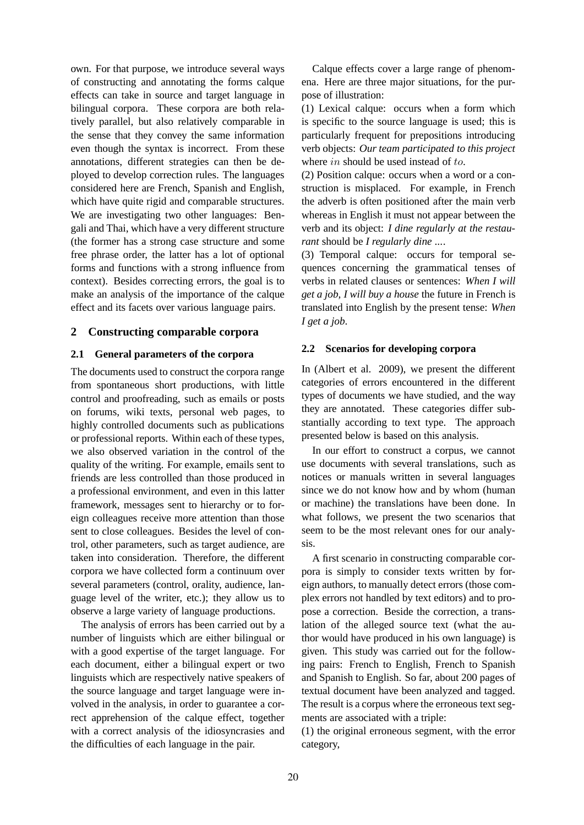own. For that purpose, we introduce several ways of constructing and annotating the forms calque effects can take in source and target language in bilingual corpora. These corpora are both relatively parallel, but also relatively comparable in the sense that they convey the same information even though the syntax is incorrect. From these annotations, different strategies can then be deployed to develop correction rules. The languages considered here are French, Spanish and English, which have quite rigid and comparable structures. We are investigating two other languages: Bengali and Thai, which have a very different structure (the former has a strong case structure and some free phrase order, the latter has a lot of optional forms and functions with a strong influence from context). Besides correcting errors, the goal is to make an analysis of the importance of the calque effect and its facets over various language pairs.

# **2 Constructing comparable corpora**

### **2.1 General parameters of the corpora**

The documents used to construct the corpora range from spontaneous short productions, with little control and proofreading, such as emails or posts on forums, wiki texts, personal web pages, to highly controlled documents such as publications or professional reports. Within each of these types, we also observed variation in the control of the quality of the writing. For example, emails sent to friends are less controlled than those produced in a professional environment, and even in this latter framework, messages sent to hierarchy or to foreign colleagues receive more attention than those sent to close colleagues. Besides the level of control, other parameters, such as target audience, are taken into consideration. Therefore, the different corpora we have collected form a continuum over several parameters (control, orality, audience, language level of the writer, etc.); they allow us to observe a large variety of language productions.

The analysis of errors has been carried out by a number of linguists which are either bilingual or with a good expertise of the target language. For each document, either a bilingual expert or two linguists which are respectively native speakers of the source language and target language were involved in the analysis, in order to guarantee a correct apprehension of the calque effect, together with a correct analysis of the idiosyncrasies and the difficulties of each language in the pair.

Calque effects cover a large range of phenomena. Here are three major situations, for the purpose of illustration:

(1) Lexical calque: occurs when a form which is specific to the source language is used; this is particularly frequent for prepositions introducing verb objects: *Our team participated to this project* where *in* should be used instead of *to*.

(2) Position calque: occurs when a word or a construction is misplaced. For example, in French the adverb is often positioned after the main verb whereas in English it must not appear between the verb and its object: *I dine regularly at the restaurant* should be *I regularly dine ...*.

(3) Temporal calque: occurs for temporal sequences concerning the grammatical tenses of verbs in related clauses or sentences: *When I will get a job, I will buy a house* the future in French is translated into English by the present tense: *When I get a job*.

### **2.2 Scenarios for developing corpora**

In (Albert et al. 2009), we present the different categories of errors encountered in the different types of documents we have studied, and the way they are annotated. These categories differ substantially according to text type. The approach presented below is based on this analysis.

In our effort to construct a corpus, we cannot use documents with several translations, such as notices or manuals written in several languages since we do not know how and by whom (human or machine) the translations have been done. In what follows, we present the two scenarios that seem to be the most relevant ones for our analysis.

A first scenario in constructing comparable corpora is simply to consider texts written by foreign authors, to manually detect errors (those complex errors not handled by text editors) and to propose a correction. Beside the correction, a translation of the alleged source text (what the author would have produced in his own language) is given. This study was carried out for the following pairs: French to English, French to Spanish and Spanish to English. So far, about 200 pages of textual document have been analyzed and tagged. The result is a corpus where the erroneous text segments are associated with a triple:

(1) the original erroneous segment, with the error category,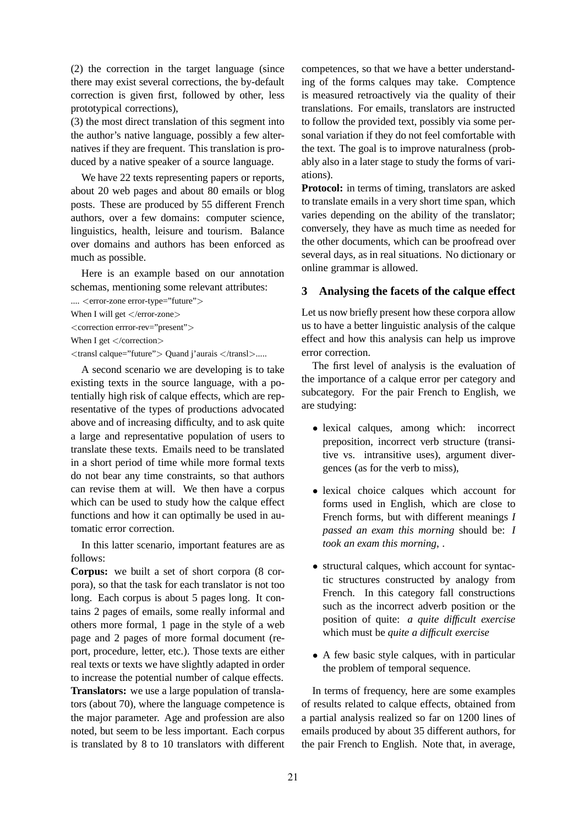(2) the correction in the target language (since there may exist several corrections, the by-default correction is given first, followed by other, less prototypical corrections),

(3) the most direct translation of this segment into the author's native language, possibly a few alternatives if they are frequent. This translation is produced by a native speaker of a source language.

We have 22 texts representing papers or reports, about 20 web pages and about 80 emails or blog posts. These are produced by 55 different French authors, over a few domains: computer science, linguistics, health, leisure and tourism. Balance over domains and authors has been enforced as much as possible.

Here is an example based on our annotation schemas, mentioning some relevant attributes:

.... < error-zone error-type="future">

```
When I will get </error-zone>
```
<correction errror-rev="present">

When I get  $\langle$  /correction $\rangle$ 

<transl calque="future"> Quand j'aurais </transl>.....

A second scenario we are developing is to take existing texts in the source language, with a potentially high risk of calque effects, which are representative of the types of productions advocated above and of increasing difficulty, and to ask quite a large and representative population of users to translate these texts. Emails need to be translated in a short period of time while more formal texts do not bear any time constraints, so that authors can revise them at will. We then have a corpus which can be used to study how the calque effect functions and how it can optimally be used in automatic error correction.

In this latter scenario, important features are as follows:

**Corpus:** we built a set of short corpora (8 corpora), so that the task for each translator is not too long. Each corpus is about 5 pages long. It contains 2 pages of emails, some really informal and others more formal, 1 page in the style of a web page and 2 pages of more formal document (report, procedure, letter, etc.). Those texts are either real texts or texts we have slightly adapted in order to increase the potential number of calque effects. **Translators:** we use a large population of translators (about 70), where the language competence is the major parameter. Age and profession are also noted, but seem to be less important. Each corpus is translated by 8 to 10 translators with different competences, so that we have a better understanding of the forms calques may take. Comptence is measured retroactively via the quality of their translations. For emails, translators are instructed to follow the provided text, possibly via some personal variation if they do not feel comfortable with the text. The goal is to improve naturalness (probably also in a later stage to study the forms of variations).

**Protocol:** in terms of timing, translators are asked to translate emails in a very short time span, which varies depending on the ability of the translator; conversely, they have as much time as needed for the other documents, which can be proofread over several days, as in real situations. No dictionary or online grammar is allowed.

# **3 Analysing the facets of the calque effect**

Let us now briefly present how these corpora allow us to have a better linguistic analysis of the calque effect and how this analysis can help us improve error correction.

The first level of analysis is the evaluation of the importance of a calque error per category and subcategory. For the pair French to English, we are studying:

- lexical calques, among which: incorrect preposition, incorrect verb structure (transitive vs. intransitive uses), argument divergences (as for the verb to miss),
- lexical choice calques which account for forms used in English, which are close to French forms, but with different meanings *I passed an exam this morning* should be: *I took an exam this morning*, .
- structural calques, which account for syntactic structures constructed by analogy from French. In this category fall constructions such as the incorrect adverb position or the position of quite: *a quite difficult exercise* which must be *quite a difficult exercise*
- A few basic style calques, with in particular the problem of temporal sequence.

In terms of frequency, here are some examples of results related to calque effects, obtained from a partial analysis realized so far on 1200 lines of emails produced by about 35 different authors, for the pair French to English. Note that, in average,